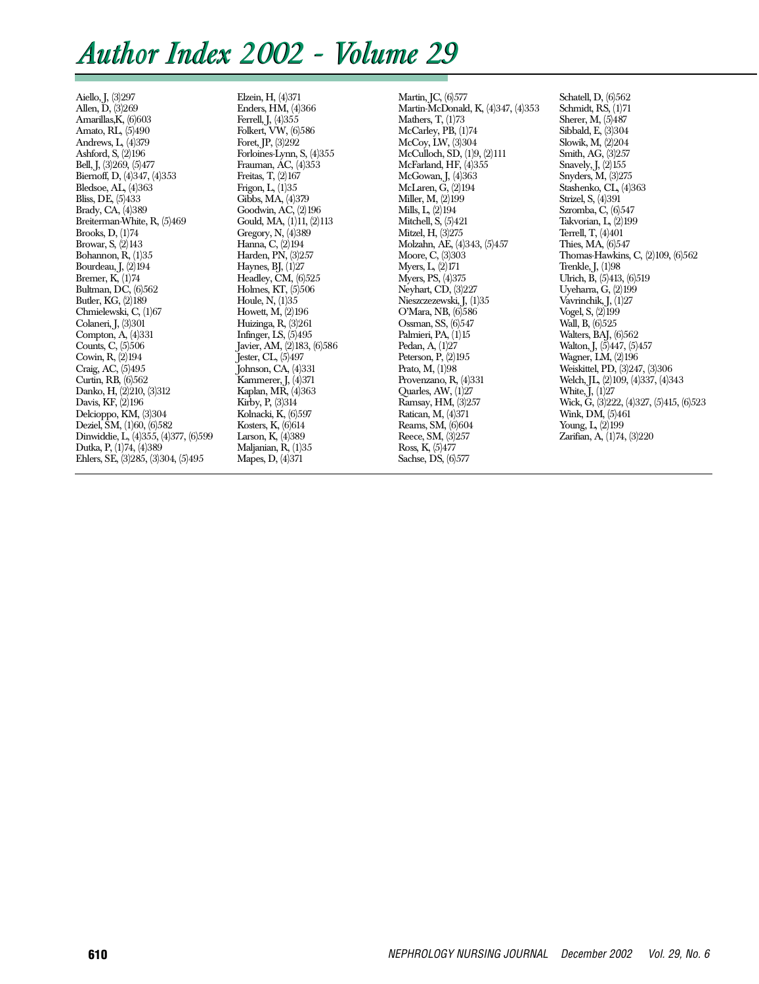# *Author Index 2002 - Volume 29*

Aiello, J, (3)297 Allen, D, (3)269 Amarillas,K, (6)603 Amato, RL, (5)490 Andrews, L, (4)379 Ashford, S, (2)196 Bell, J, (3)269, (5)477 Biernoff, D, (4)347, (4)353 Bledsoe, AL, (4)363 Bliss, DE, (5)433 Brady, CA, (4)389 Breiterman-White, R, (5)469 Brooks, D, (1)74 Browar, S, (2)143 Bohannon, R, (1)35 Bourdeau, J, (2)194 Bremer, K, (1)74 Bultman, DC, (6)562 Butler, KG, (2)189 Chmielewski, C, (1)67 Colaneri, J, (3)301 Compton, A, (4)331 Counts, C, (5)506 Cowin, R, (2)194 Craig, AC, (5)495 Curtin, RB, (6)562 Danko, H, (2)210, (3)312 Davis, KF, (2)196 Delcioppo, KM, (3)304 Deziel, SM, (1)60, (6)582 Dinwiddie, L, (4)355, (4)377, (6)599 Dutka, P, (1)74, (4)389 Ehlers, SE, (3)285, (3)304, (5)495

Elzein, H, (4)371 Enders, HM, (4)366 Ferrell, J, (4)355 Folkert, VW, (6)586 Foret, JP, (3)292 Forloines-Lynn, S, (4)355 Frauman, AC, (4)353 Freitas, T, (2)167 Frigon, L, (1)35 Gibbs, MA, (4)379 Goodwin, AC, (2)196 Gould, MA, (1)11, (2)113 Gregory, N, (4)389 Hanna, C, (2)194 Harden, PN, (3)257 Haynes, BJ,  $(1)27$ Headley, CM, (6)525 Holmes, KT, (5)506 Houle, N, (1)35 Howett, M, (2)196 Huizinga, R, (3)261 Infinger, LS, (5)495 Javier, AM, (2)183, (6)586 Jester, CL, (5)497 Johnson, CA, (4)331 Kammerer, J, (4)371 Kaplan, MR, (4)363 Kirby, P, (3)314 Kolnacki, K, (6)597 Kosters, K, (6)614 Larson, K, (4)389 Maljanian, R, (1)35 Mapes, D, (4)371

Martin, JC, (6)577 Martin-McDonald, K, (4)347, (4)353 Mathers, T, (1)73 McCarley, PB, (1)74 McCoy, LW, (3)304 McCulloch,  $\overline{SD}$ ,  $(1)9$ ,  $(2)111$ McFarland, HF, (4)355 McGowan, J, (4)363 McLaren, G, (2)194 Miller, M, (2)199 Mills, L, (2)194 Mitchell, S,  $(5)421$ Mitzel, H, (3)275 Molzahn, AE, (4)343, (5)457 Moore, C, (3)303 Myers, L, (2)171 Myers, PS, (4)375 Neyhart, CD, (3)227 Nieszczezewski, J, (1)35 O'Mara, NB, (6)586 Ossman, SS, (6)547 Palmieri, PA, (1)15 Pedan, A, (1)27 Peterson, P, (2)195 Prato, M, (1)98 Provenzano, R, (4)331 Quarles, AW, (1)27 Ramsay, HM, (3)257 Ratican, M, (4)371 Reams, SM, (6)604 Reece, SM, (3)257 Ross, K, (5)477 Sachse, DS, (6)577

Schatell, D, (6)562 Schmidt, RS, (1)71 Sherer, M, (5)487 Sibbald, E, (3)304 Slowik, M, (2)204 Smith, AG, (3)257 Snavely, J, (2)155 Snyders, M, (3)275 Stashenko, CL, (4)363 Strizel, S, (4)391 Szromba, C, (6)547 Takvorian, L, (2)199 Terrell, T, (4)401 Thies, MA, (6)547 Thomas-Hawkins, C, (2)109, (6)562 Trenkle, J, (1)98 Ulrich, B, (5)413, (6)519 Uyeharra, G, (2)199 Vavrinchik, J, (1)27 Vogel, S, (2)199 Wall, B, (6)525 Walters, BAJ, (6)562 Walton, J, (5)447, (5)457 Wagner, LM, (2)196 Weiskittel, PD, (3)247, (3)306 Welch, JL, (2)109, (4)337, (4)343 White,  $J$ ,  $(1)27$ Wick, G, (3)222, (4)327, (5)415, (6)523 Wink, DM, (5)461 Young, L,  $(2)$ 199 Zarifian, A, (1)74, (3)220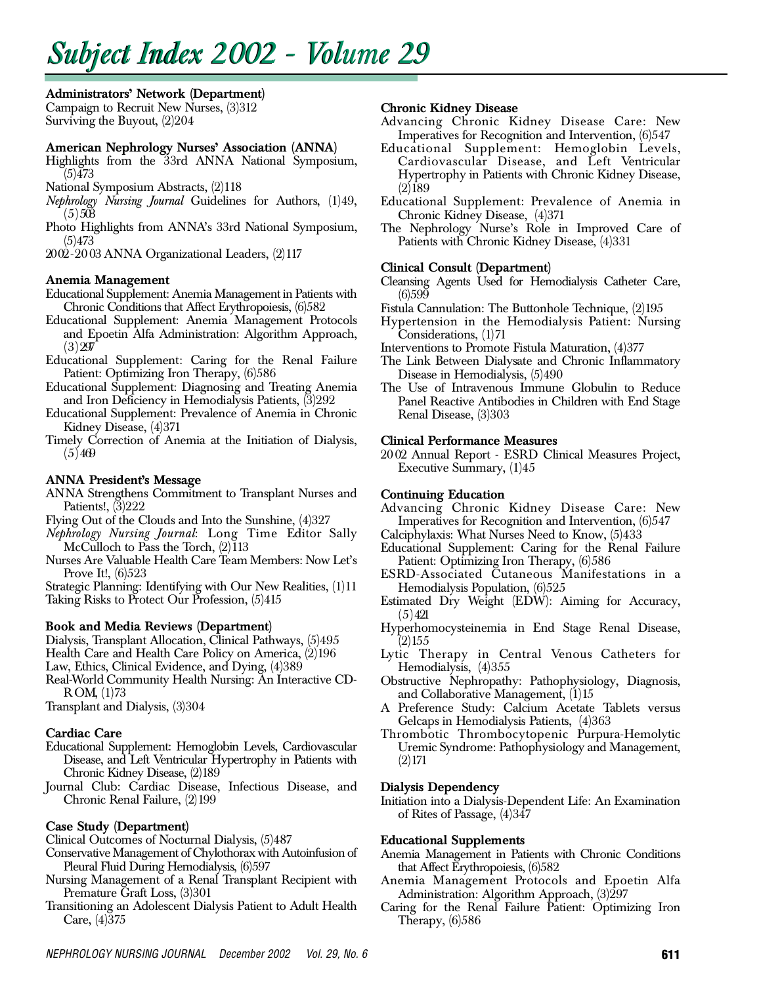# *Subject Subject Index 2002 - Volume 29*

## Administrators' Network (Department)

Campaign to Recruit New Nurses, (3)312 Surviving the Buyout, (2)204

## American Nephrology Nurses' Association (ANNA)

Highlights from the 33rd ANNA National Symposium,  $(5)473$ 

- National Symposium Abstracts, (2)118
- *Nephrology Nursing Journal* Guidelines for Authors, (1)49,  $(5)503$
- Photo Highlights from ANNA's 33rd National Symposium,  $(5)473$

20 02 - 20 03 ANNA Organizational Leaders, (2)117

## Anemia Management

- Educational Supplement: Anemia Management in Patients with Chronic Conditions that Affect Erythropoiesis, (6)582
- Educational Supplement: Anemia Management Protocols and Epoetin Alfa Administration: Algorithm Approach,  $(3) 297$
- Educational Supplement: Caring for the Renal Failure Patient: Optimizing Iron Therapy, (6)586
- Educational Supplement: Diagnosing and Treating Anemia and Iron Deficiency in Hemodialysis Patients, (3)292
- Educational Supplement: Prevalence of Anemia in Chronic Kidney Disease, (4)371
- Timely Correction of Anemia at the Initiation of Dialysis,  $(5)469$

# ANNA President's Message

- ANNA Strengthens Commitment to Transplant Nurses and Patients!, (3)222
- Flying Out of the Clouds and Into the Sunshine, (4)327
- *Nephrology Nursing Journal*: Long Time Editor Sally McCulloch to Pass the Torch,  $(2)113$
- Nurses Are Valuable Health Care Team Members: Now Let's Prove It!, (6)523

Strategic Planning: Identifying with Our New Realities, (1)11 Taking Risks to Protect Our Profession, (5)415

## Book and Media Reviews (Department)

Dialysis, Transplant Allocation, Clinical Pathways, (5)495

Health Care and Health Care Policy on America, (2)196

Law, Ethics, Clinical Evidence, and Dying, (4)389

Real-World Community Health Nursing: An Interactive CD-R OM, (1)73

Transplant and Dialysis, (3)304

## Cardiac Care

- Educational Supplement: Hemoglobin Levels, Cardiovascular Disease, and Left Ventricular Hypertrophy in Patients with Chronic Kidney Disease, (2)189
- Journal Club: Cardiac Disease, Infectious Disease, and Chronic Renal Failure, (2)199

## Case Study (Department)

- Clinical Outcomes of Nocturnal Dialysis, (5)487
- Conservative Management of Chylothorax with Autoinfusion of Pleural Fluid During Hemodialysis, (6)597
- Nursing Management of a Renal Transplant Recipient with Premature Graft Loss, (3)301
- Transitioning an Adolescent Dialysis Patient to Adult Health Care, (4)375

## Chronic Kidney Disease

- Advancing Chronic Kidney Disease Care: New Imperatives for Recognition and Intervention, (6)547
- Educational Supplement: Hemoglobin Levels, Cardiovascular Disease, and Left Ventricular Hypertrophy in Patients with Chronic Kidney Disease,  $(2)$  189
- Educational Supplement: Prevalence of Anemia in Chronic Kidney Disease, (4)371
- The Nephrology Nurse's Role in Improved Care of Patients with Chronic Kidney Disease, (4)331

## Clinical Consult (Department)

- Cleansing Agents Used for Hemodialysis Catheter Care, (6)599
- Fistula Cannulation: The Buttonhole Technique,  $(2)195$
- Hypertension in the Hemodialysis Patient: Nursing Considerations, (1)71
- Interventions to Promote Fistula Maturation, (4)377
- The Link Between Dialysate and Chronic Inflammatory Disease in Hemodialysis, (5)490
- The Use of Intravenous Immune Globulin to Reduce Panel Reactive Antibodies in Children with End Stage Renal Disease, (3)303

## Clinical Performance Measures

2002 Annual Report - ESRD Clinical Measures Project, Executive Summary, (1)45

## Continuing Education

- Advancing Chronic Kidney Disease Care: New Imperatives for Recognition and Intervention, (6)547
- Calciphylaxis: What Nurses Need to Know, (5)433
- Educational Supplement: Caring for the Renal Failure Patient: Optimizing Iron Therapy, (6)586
- ESRD-Associated Cutaneous Manifestations in a Hemodialysis Population, (6)525
- Estimated Dry Weight (EDW): Aiming for Accuracy,  $(5)421$
- Hyperhomocysteinemia in End Stage Renal Disease,  $(2)$  155
- Lytic Therapy in Central Venous Catheters for Hemodialysis, (4)355
- Obstructive Nephropathy: Pathophysiology, Diagnosis, and Collaborative Management, (1)15
- A Preference Study: Calcium Acetate Tablets versus Gelcaps in Hemodialysis Patients, (4)363
- Thrombotic Thrombocytopenic Purpura-Hemolytic Uremic Syndrome: Pathophysiology and Management,  $(2)$  171

## Dialysis Dependency

Initiation into a Dialysis-Dependent Life: An Examination of Rites of Passage, (4)347

## Educational Supplements

- Anemia Management in Patients with Chronic Conditions that Affect Erythropoiesis, (6)582
- Anemia Management Protocols and Epoetin Alfa Administration: Algorithm Approach, (3)297
- Caring for the Renal Failure Patient: Optimizing Iron Therapy,  $(6)586$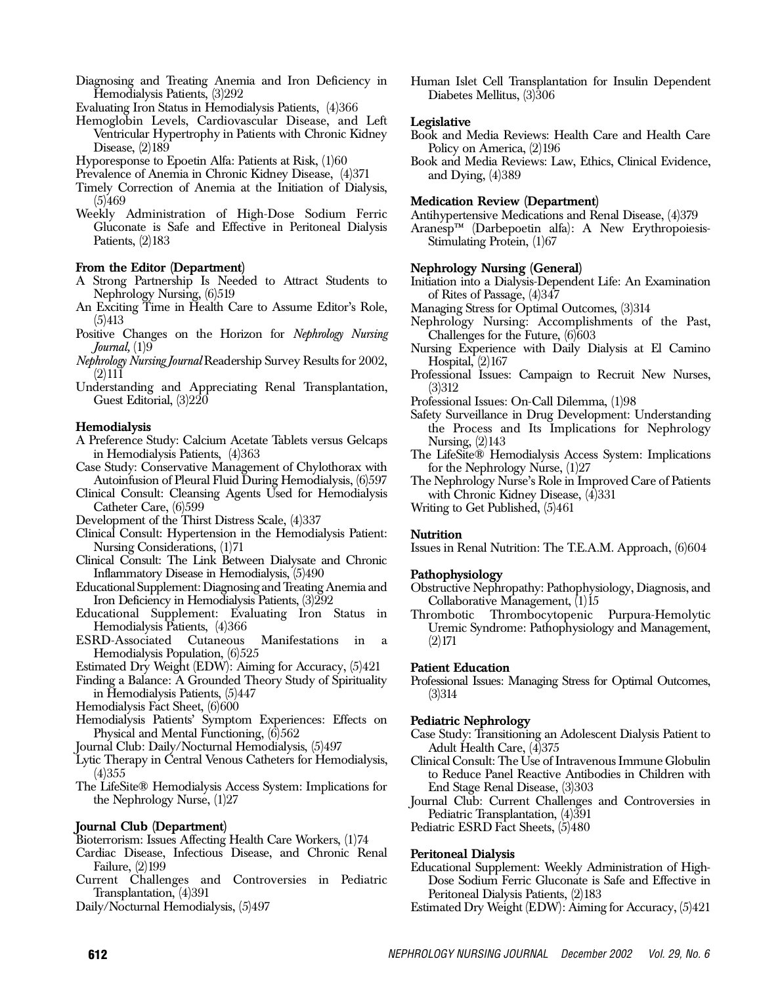Diagnosing and Treating Anemia and Iron Deficiency in Hemodialysis Patients, (3)292

Evaluating Iron Status in Hemodialysis Patients, (4)366

Hemoglobin Levels, Cardiovascular Disease, and Left Ventricular Hypertrophy in Patients with Chronic Kidney Disease, (2)189

Hyporesponse to Epoetin Alfa: Patients at Risk, (1)60

Prevalence of Anemia in Chronic Kidney Disease, (4)371

- Timely Correction of Anemia at the Initiation of Dialysis,  $(5)469$
- Weekly Administration of High-Dose Sodium Ferric Gluconate is Safe and Effective in Peritoneal Dialysis Patients, (2)183

## From the Editor (Department)

- A Strong Partnership Is Needed to Attract Students to Nephrology Nursing, (6)519
- An Exciting Time in Health Care to Assume Editor's Role,  $(5)413$
- Positive Changes on the Horizon for *Nephrology Nursing Journal*, (1)9
- *Nephrology Nursing Journal* Readership Survey Results for 2002,  $(2)$ 111
- Understanding and Appreciating Renal Transplantation, Guest Editorial, (3)220

#### He modialy sis

- A Preference Study: Calcium Acetate Tablets versus Gelcaps in Hemodialysis Patients, (4)363
- Case Study: Conservative Management of Chylothorax with Autoinfusion of Pleural Fluid During Hemodialysis, (6)597
- Clinical Consult: Cleansing Agents Used for Hemodialysis Catheter Care, (6)599
- Development of the Thirst Distress Scale, (4)337
- Clinical Consult: Hypertension in the Hemodialysis Patient: Nursing Considerations, (1)71
- Clinical Consult: The Link Between Dialysate and Chronic Inflammatory Disease in Hemodialysis, (5)490
- Educational Supplement: Diagnosing and Treating Anemia and Iron Deficiency in Hemodialysis Patients, (3)292
- Educational Supplement: Evaluating Iron Status in Hemodialysis Patients, (4)366<br>RD-Associated Cutaneous
- ESRD-Associated Cutaneous Manifestations in a Hemodialysis Population, (6)525
- Estimated Dry Weight (EDW): Aiming for Accuracy, (5)421
- Finding a Balance: A Grounded Theory Study of Spirituality in Hemodialysis Patients, (5)447
- Hemodialysis Fact Sheet, (6)600
- Hemodialysis Patients' Symptom Experiences: Effects on Physical and Mental Functioning,  $(6)562$

Journal Club: Daily/Nocturnal Hemodialysis, (5)497

- Lytic Therapy in Central Venous Catheters for Hemodialysis,  $(4)355$
- The LifeSite® Hemodialysis Access System: Implications for the Nephrology Nurse, (1)27

## Journal Club (Department)

Bioterrorism: Issues Affecting Health Care Workers, (1)74

Cardiac Disease, Infectious Disease, and Chronic Renal Failure, (2)199

Current Challenges and Controversies in Pediatric Transplantation, (4)391

Daily/Nocturnal Hemodialysis, (5)497

Human Islet Cell Transplantation for Insulin Dependent Diabetes Mellitus, (3)306

## Legislative

- Book and Media Reviews: Health Care and Health Care Policy on America, (2)196
- Book and Media Reviews: Law, Ethics, Clinical Evidence, and Dying, (4)389

## Medication Review (Department)

Antihypertensive Medications and Renal Disease, (4)379

Aranesp™ (Darbepoetin alfa): A New Erythropoiesis-Stimulating Protein, (1)67

## Nephrology Nursing (General)

- Initiation into a Dialysis-Dependent Life: An Examination of Rites of Passage, (4)347
- Managing Stress for Optimal Outcomes, (3)314
- Nephrology Nursing: Accomplishments of the Past, Challenges for the Future, (6)603
- Nursing Experience with Daily Dialysis at El Camino Hospital,  $(2)167$
- Professional Issues: Campaign to Recruit New Nurses,  $(3)312$
- Professional Issues: On-Call Dilemma, (1)98
- Safety Surveillance in Drug Development: Understanding the Process and Its Implications for Nephrology Nursing, (2)143
- The LifeSite® Hemodialysis Access System: Implications for the Nephrology Nurse, (1)27

The Nephrology Nurse's Role in Improved Care of Patients with Chronic Kidney Disease, (4)331

Writing to Get Published, (5)461

## **Nutrition**

Issues in Renal Nutrition: The T.E.A.M. Approach, (6)604

## Pathophysiology

- Obstructive Nephropathy: Pathophysiology, Diagnosis, and Collaborative Management, (1)15
- Thrombotic Thrombocytopenic Purpura-Hemolytic Uremic Syndrome: Pathophysiology and Management,  $(2)$  171

## Patient Education

Professional Issues: Managing Stress for Optimal Outcomes,  $(3)314$ 

## Pediatric Nephrology

- Case Study: Transitioning an Adolescent Dialysis Patient to Adult Health Care,  $(\tilde{4})375$
- Clinical Consult: The Use of IntravenousImmune Globulin to Reduce Panel Reactive Antibodies in Children with End Stage Renal Disease, (3)303
- Journal Club: Current Challenges and Controversies in Pediatric Transplantation, (4)391
- Pediatric ESRD Fact Sheets, (5)480

## Peritoneal Dialysis

- Educational Supplement: Weekly Administration of High-Dose Sodium Ferric Gluconate is Safe and Effective in Peritoneal Dialysis Patients, (2)183
- Estimated Dry Weight (EDW): Aiming for Accuracy, (5)421